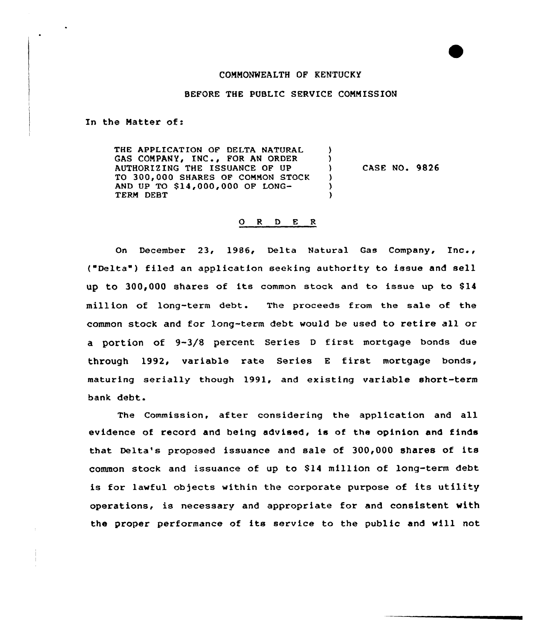## COMMONWEALTH OF KENTUCKY

## BEFORE THE PUBLIC SERVICE COMMISSION

In the Matter of:

THE APPLICATION OF DELTA NATURAL  $\lambda$ GAS COMPANY, INC., FOR AN ORDER <sup>1</sup> AUTHORIZING THE ISSUANCE OF UP CASE NO. 9826  $\lambda$ TO 300,000 SHARES OF COMMON STOCK  $\lambda$ AND UP TO \$ 14,000,000 OF LONG- $\lambda$ TERM DEBT  $\lambda$ 

## 0 <sup>R</sup> <sup>D</sup> <sup>E</sup> <sup>R</sup>

On December 23, 1986, Delta Natural Gas Company, Inc., ("Delta" ) filed an application seeking authority to issue and sell up to 300,000 shares of its common stock and to issue up to \$14 million of long-term debt. The proceeds from the sale of the common stock and for long-teem debt would be used to retire all or <sup>a</sup> portion of 9-3/8 percent Series <sup>D</sup> first mortgage bonds due through 1992, variable rate Series <sup>E</sup> first mortgage bonds, maturing serially though 1991, and existing variable short-term bank debt.

The Commission, after considering the application and all evidence of record and being advised, is of the opinion and finds that Delta's proposed issuance and sale of 300,000 shares of its common stock and issuance of up to \$14 million of long-term debt is for lawful objects within the corporate purpose of its utility operations, is necessary and appropriate for and consistent with the proper performance of its service to the public and will not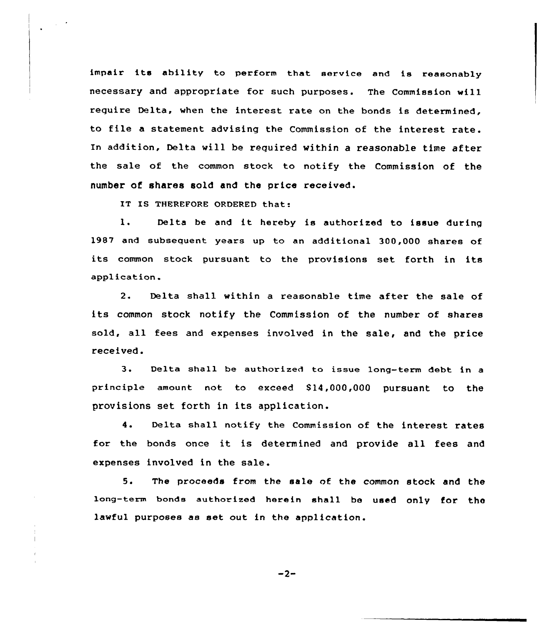impair its ability to perform that service and is reasonably necessary and appropriate for such purposes. The Commission will require Delta, when the interest rate on the bonds is determined, to file <sup>a</sup> statement advising the Commission of the interest rate. In addition, Delta will be required within a reasonable time after the sale of the common stock to notify the Commission of the number of shares sold and the price received.

IT IS THEREFORE ORDERED that:

 $\lambda$  .

1. Delta be and it hereby is authorized to issue during 1987 and subsequent years up to an additional 300,000 shares of its common stock pursuant to the provisions set forth in its application.

2. Delta shall within a reasonable time after the sale of its common stock notify the Commission of the number of shares sold, all fees and expenses involved in the sale, and the price received.

3. Delta shall be authorized to issue long-term debt in a principle amount not. to exceed 814,000,000 pursuant to the provisions set forth in its application.

4. Delta shall notify the Commission of the interest rates for the bonds once it is determined and provide all fees and expenses involved in the sale.

5. The proceeds from the sale of the common stock and the long-term bonds authorized herein shall be used only for the lawful purposes as set out in the application.

 $-2-$